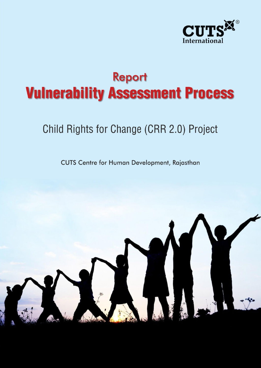

# **Report Vulnerability Assessment Process**

# Child Rights for Change (CRR 2.0) Project

**CUTS Centre for Human Development, Rajasthan** 

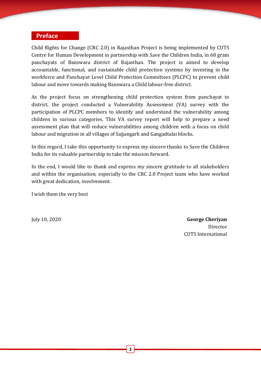#### **Preface**

Child Rights for Change (CRC 2.0) in Rajasthan Project is being implemented by CUTS Centre for Human Development in partnership with Save the Children India, in 68 gram panchayats of Banswara district of Rajasthan. The project is aimed to develop accountable, functional, and sustainable child protection systems by investing in the workforce and Panchayat Level Child Protection Committees (PLCPC) to prevent child labour and move towards making Banswara a Child labour-free district.

As the project focus on strengthening child protection system from panchayat to district, the project conducted a Vulnerability Assessment (VA) survey with the participation of PLCPC members to identify and understand the vulnerability among children in various categories. This VA survey report will help to prepare a need assessment plan that will reduce vulnerabilities among children with a focus on child labour and migration in all villages of Sajjangarh and Gangadtalai blocks.

In this regard, I take this opportunity to express my sincere thanks to Save the Children India for its valuable partnership to take the mission forward.

In the end, I would like to thank and express my sincere gratitude to all stakeholders and within the organisation; especially to the CRC 2.0 Project team who have worked with great dedication, involvement.

I wish them the very best

July 10, 2020 **George Cheriyan** Director CUTS International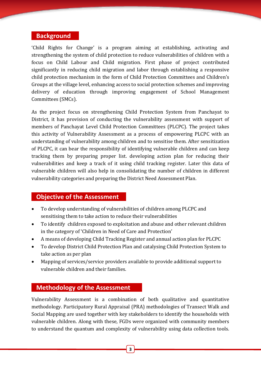# **Background**

'Child Rights for Change' is a program aiming at establishing, activating and strengthening the system of child protection to reduce vulnerabilities of children with a focus on Child Labour and Child migration. First phase of project contributed significantly in reducing child migration and labor through establishing a responsive child protection mechanism in the form of Child Protection Committees and Children's Groups at the village level, enhancing access to social protection schemes and improving delivery of education through improving engagement of School Management Committees (SMCs).

As the project focus on strengthening Child Protection System from Panchayat to District, it has provision of conducting the vulnerability assessment with support of members of Panchayat Level Child Protection Committees (PLCPC). The project takes this activity of Vulnerability Assessment as a process of empowering PLCPC with an understanding of vulnerability among children and to sensitise them. After sensitization of PLCPC, it can bear the responsibility of identifying vulnerable children and can keep tracking them by preparing proper list. developing action plan for reducing their vulnerabilities and keep a track of it using child tracking register. Later this data of vulnerable children will also help in consolidating the number of children in different vulnerability categories and preparing the District Need Assessment Plan.

## **Objective of the Assessment**

- To develop understanding of vulnerabilities of children among PLCPC and sensitising them to take action to reduce their vulnerabilities
- To identify children exposed to exploitation and abuse and other relevant children in the category of 'Children in Need of Care and Protection'
- A means of developing Child Tracking Register and annual action plan for PLCPC
- To develop District Child Protection Plan and catalysing Child Protection System to take action as per plan
- Mapping of services/service providers available to provide additional support to vulnerable children and their families.

# **Methodology of the Assessment**

Vulnerability Assessment is a combination of both qualitative and quantitative methodology. Participatory Rural Appraisal (PRA) methodologies of Transect Walk and Social Mapping are used together with key stakeholders to identify the households with vulnerable children. Along with these, FGDs were organized with community members to understand the quantum and complexity of vulnerability using data collection tools.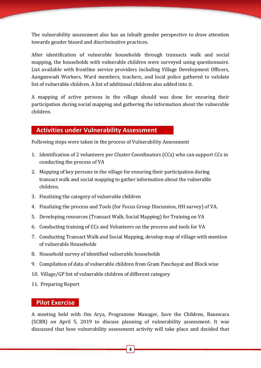The vulnerability assessment also has an inbuilt gender perspective to draw attention towards gender biased and discriminative practices.

After identification of vulnerable households through transacts walk and social mapping, the households with vulnerable children were surveyed using questionnaire. List available with frontline service providers including Village Development Officers, Aanganwadi Workers, Ward members, teachers, and local police gathered to validate list of vulnerable children. A list of additional children also added into it.

A mapping of active persons in the village should was done for ensuring their participation during social mapping and gathering the information about the vulnerable children.

## **Activities under Vulnerability Assessment**

Following steps were taken in the process of Vulnerability Assessment

- 1. Identification of 2 volunteers per Cluster Coordinators (CCs) who can support CCs in conducting the process of VA
- 2. Mapping of key persons in the village for ensuring their participation during transact walk and social mapping to gather information about the vulnerable children.
- 3. Finalizing the category of vulnerable children
- 4. Finalizing the process and Tools (for Focus Group Discussion, HH survey) of VA.
- 5. Developing resources (Transact Walk, Social Mapping) for Training on VA
- 6. Conducting training of CCs and Volunteers on the process and tools for VA
- 7. Conducting Transact Walk and Social Mapping, develop map of village with mention of vulnerable Households
- 8. Household survey of identified vulnerable households
- 9. Compilation of data of vulnerable children from Gram Panchayat and Block wise
- 10. Village/GP list of vulnerable children of different category
- 11. Preparing Report

#### **Pilot Exercise**

A meeting held with Om Arya, Programme Manager, Save the Children, Banswara (SCBR) on April 5, 2019 to discuss planning of vulnerability assessment. It was discussed that how vulnerability assessment activity will take place and decided that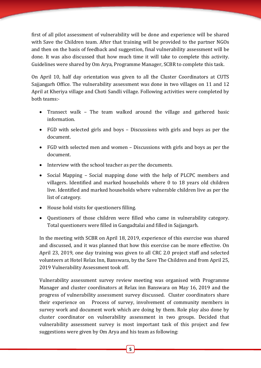first of all pilot assessment of vulnerability will be done and experience will be shared with Save the Children team. After that training will be provided to the partner NGOs and then on the basis of feedback and suggestion, final vulnerability assessment will be done. It was also discussed that how much time it will take to complete this activity. Guidelines were shared by Om Arya, Programme Manager, SCBR to complete this task.

On April 10, half day orientation was given to all the Cluster Coordinators at CUTS Sajjangarh Office. The vulnerability assessment was done in two villages on 11 and 12 April at Kheriya village and Choti Sandli village. Following activities were completed by both teams:-

- Transect walk The team walked around the village and gathered basic information.
- FGD with selected girls and boys Discussions with girls and boys as per the document.
- FGD with selected men and women Discussions with girls and boys as per the document.
- Interview with the school teacher as per the documents.
- Social Mapping Social mapping done with the help of PLCPC members and villagers. Identified and marked households where 0 to 18 years old children live. Identified and marked households where vulnerable children live as per the list of category.
- House hold visits for questioners filling.
- Questioners of those children were filled who came in vulnerability category. Total questioners were filled in Gangadtalai and filled in Sajjangarh.

In the meeting with SCBR on April 18, 2019, experience of this exercise was shared and discussed, and it was planned that how this exercise can be more effective. On April 23, 2019, one day training was given to all CRC 2.0 project staff and selected volunteers at Hotel Relax Inn, Banswara, by the Save The Children and from April 25, 2019 Vulnerability Assessment took off.

Vulnerability assessment survey review meeting was organised with Programme Manager and cluster coordinators at Relax inn Banswara on May 16, 2019 and the progress of vulnerability assessment survey discussed. Cluster coordinators share their experience on Process of survey, involvement of community members in survey work and document work which are doing by them. Role play also done by cluster coordinator on vulnerability assessment in two groups. Decided that vulnerability assessment survey is most important task of this project and few suggestions were given by Om Arya and his team as following: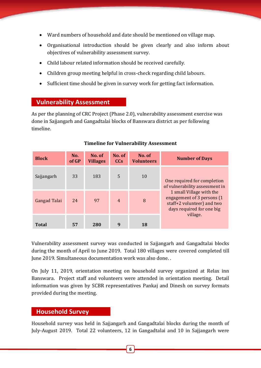- Ward numbers of household and date should be mentioned on village map.
- Organisational introduction should be given clearly and also inform about objectives of vulnerability assessment survey.
- Child labour related information should be received carefully.
- Children group meeting helpful in cross-check regarding child labours.
- Sufficient time should be given in survey work for getting fact information.

#### **Vulnerability Assessment**

As per the planning of CRC Project (Phase 2.0), vulnerability assessment exercise was done in Sajjangarh and Gangadtalai blocks of Banswara district as per following timeline.

| <b>Block</b> | No.<br>of GP | No. of<br><b>Villages</b> | No. of<br>CC <sub>s</sub> | No. of<br><b>Volunteers</b> | <b>Number of Days</b>                                                                                                          |  |
|--------------|--------------|---------------------------|---------------------------|-----------------------------|--------------------------------------------------------------------------------------------------------------------------------|--|
| Sajjangarh   | 33           | 183                       | $\overline{5}$            | 10                          | One required for completion<br>of vulnerability assessment in                                                                  |  |
| Gangad Talai | 24           | 97                        | $\overline{4}$            | 8                           | 1 small Village with the<br>engagement of 3 persons (1)<br>staff+2 volunteer) and two<br>days required for one big<br>village. |  |
| <b>Total</b> | 57           | 280                       | 9                         | 18                          |                                                                                                                                |  |

#### **Timeline for Vulnerability Assessment**

Vulnerability assessment survey was conducted in Sajjangarh and Gangadtalai blocks during the month of April to June 2019. Total 180 villages were covered completed till June 2019. Simultaneous documentation work was also done. .

On July 11, 2019, orientation meeting on household survey organized at Relax inn Banswara. Project staff and volunteers were attended in orientation meeting. Detail information was given by SCBR representatives Pankaj and Dinesh on survey formats provided during the meeting.

#### **Household Survey**

Household survey was held in Sajjangarh and Gangadtalai blocks during the month of July-August 2019. Total 22 volunteers, 12 in Gangadtalai and 10 in Sajjangarh were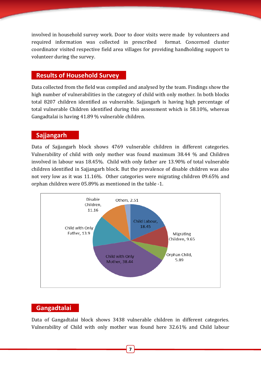involved in household survey work. Door to door visits were made by volunteers and required information was collected in prescribed format. Concerned cluster coordinator visited respective field area villages for providing handholding support to volunteer during the survey.

#### **Results of Household Survey**

Data collected from the field was compiled and analysed by the team. Findings show the high number of vulnerabilities in the category of child with only mother. In both blocks total 8207 children identified as vulnerable. Sajjangarh is having high percentage of total vulnerable Children identified during this assessment which is 58.10%, whereas Gangadtalai is having 41.89 % vulnerable children.

#### **Sajjangarh**

Data of Sajjangarh block shows 4769 vulnerable children in different categories. Vulnerability of child with only mother was found maximum 38.44 % and Children involved in labour was 18.45%. Child with only father are 13.90% of total vulnerable children identified in Sajjangarh block. But the prevalence of disable children was also not very low as it was 11.16%. Other categories were migrating children 09.65% and orphan children were 05.89% as mentioned in the table -1.



#### **Gangadtalai**

Data of Gangadtalai block shows 3438 vulnerable children in different categories. Vulnerability of Child with only mother was found here 32.61% and Child labour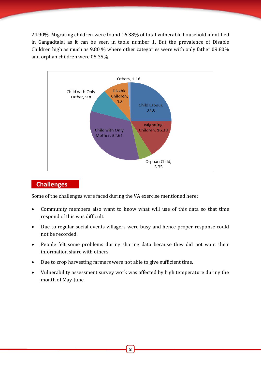24.90%. Migrating children were found 16.38% of total vulnerable household identified in Gangadtalai as it can be seen in table number 1. But the prevalence of Disable Children high as much as 9.80 % where other categories were with only father 09.80% and orphan children were 05.35%.



#### **Challenges**

Some of the challenges were faced during the VA exercise mentioned here:

- Community members also want to know what will use of this data so that time respond of this was difficult.
- Due to regular social events villagers were busy and hence proper response could not be recorded.
- People felt some problems during sharing data because they did not want their information share with others.
- Due to crop harvesting farmers were not able to give sufficient time.
- Vulnerability assessment survey work was affected by high temperature during the month of May-June.